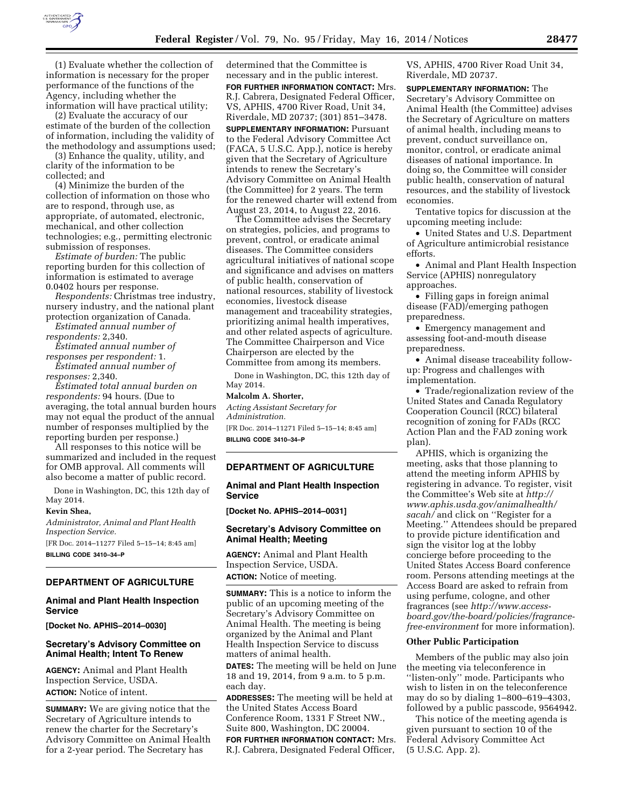

(1) Evaluate whether the collection of information is necessary for the proper performance of the functions of the Agency, including whether the information will have practical utility;

(2) Evaluate the accuracy of our estimate of the burden of the collection of information, including the validity of the methodology and assumptions used;

(3) Enhance the quality, utility, and clarity of the information to be collected; and

(4) Minimize the burden of the collection of information on those who are to respond, through use, as appropriate, of automated, electronic, mechanical, and other collection technologies; e.g., permitting electronic submission of responses.

*Estimate of burden:* The public reporting burden for this collection of information is estimated to average 0.0402 hours per response.

*Respondents:* Christmas tree industry, nursery industry, and the national plant protection organization of Canada.

*Estimated annual number of respondents:* 2,340.

*Estimated annual number of responses per respondent:* 1.

*Estimated annual number of responses:* 2,340.

*Estimated total annual burden on respondents:* 94 hours. (Due to averaging, the total annual burden hours may not equal the product of the annual number of responses multiplied by the reporting burden per response.)

All responses to this notice will be summarized and included in the request for OMB approval. All comments will also become a matter of public record.

Done in Washington, DC, this 12th day of May 2014.

### **Kevin Shea,**

*Administrator, Animal and Plant Health Inspection Service.* 

[FR Doc. 2014–11277 Filed 5–15–14; 8:45 am] **BILLING CODE 3410–34–P** 

# **DEPARTMENT OF AGRICULTURE**

## **Animal and Plant Health Inspection Service**

**[Docket No. APHIS–2014–0030]** 

## **Secretary's Advisory Committee on Animal Health; Intent To Renew**

**AGENCY:** Animal and Plant Health Inspection Service, USDA. **ACTION:** Notice of intent.

**SUMMARY:** We are giving notice that the Secretary of Agriculture intends to renew the charter for the Secretary's Advisory Committee on Animal Health for a 2-year period. The Secretary has

determined that the Committee is necessary and in the public interest. **FOR FURTHER INFORMATION CONTACT:** Mrs. R.J. Cabrera, Designated Federal Officer, VS, APHIS, 4700 River Road, Unit 34, Riverdale, MD 20737; (301) 851–3478.

**SUPPLEMENTARY INFORMATION:** Pursuant to the Federal Advisory Committee Act (FACA, 5 U.S.C. App.), notice is hereby given that the Secretary of Agriculture intends to renew the Secretary's Advisory Committee on Animal Health (the Committee) for 2 years. The term for the renewed charter will extend from August 23, 2014, to August 22, 2016.

The Committee advises the Secretary on strategies, policies, and programs to prevent, control, or eradicate animal diseases. The Committee considers agricultural initiatives of national scope and significance and advises on matters of public health, conservation of national resources, stability of livestock economies, livestock disease management and traceability strategies, prioritizing animal health imperatives, and other related aspects of agriculture. The Committee Chairperson and Vice Chairperson are elected by the Committee from among its members.

Done in Washington, DC, this 12th day of May 2014.

## **Malcolm A. Shorter,**

*Acting Assistant Secretary for Administration.*  [FR Doc. 2014–11271 Filed 5–15–14; 8:45 am] **BILLING CODE 3410–34–P** 

### **DEPARTMENT OF AGRICULTURE**

**Animal and Plant Health Inspection Service** 

**[Docket No. APHIS–2014–0031]** 

### **Secretary's Advisory Committee on Animal Health; Meeting**

**AGENCY:** Animal and Plant Health Inspection Service, USDA. **ACTION:** Notice of meeting.

**SUMMARY:** This is a notice to inform the public of an upcoming meeting of the Secretary's Advisory Committee on Animal Health. The meeting is being organized by the Animal and Plant Health Inspection Service to discuss matters of animal health.

**DATES:** The meeting will be held on June 18 and 19, 2014, from 9 a.m. to 5 p.m. each day.

**ADDRESSES:** The meeting will be held at the United States Access Board Conference Room, 1331 F Street NW., Suite 800, Washington, DC 20004.

**FOR FURTHER INFORMATION CONTACT:** Mrs. R.J. Cabrera, Designated Federal Officer,

VS, APHIS, 4700 River Road Unit 34, Riverdale, MD 20737.

**SUPPLEMENTARY INFORMATION:** The Secretary's Advisory Committee on Animal Health (the Committee) advises the Secretary of Agriculture on matters of animal health, including means to prevent, conduct surveillance on, monitor, control, or eradicate animal diseases of national importance. In doing so, the Committee will consider public health, conservation of natural resources, and the stability of livestock economies.

Tentative topics for discussion at the upcoming meeting include:

• United States and U.S. Department of Agriculture antimicrobial resistance efforts.

• Animal and Plant Health Inspection Service (APHIS) nonregulatory approaches.

• Filling gaps in foreign animal disease (FAD)/emerging pathogen preparedness.

• Emergency management and assessing foot-and-mouth disease preparedness.

• Animal disease traceability followup: Progress and challenges with implementation.

• Trade/regionalization review of the United States and Canada Regulatory Cooperation Council (RCC) bilateral recognition of zoning for FADs (RCC Action Plan and the FAD zoning work plan).

APHIS, which is organizing the meeting, asks that those planning to attend the meeting inform APHIS by registering in advance. To register, visit the Committee's Web site at *[http://](http://www.aphis.usda.gov/animalhealth/sacah/) [www.aphis.usda.gov/animalhealth/](http://www.aphis.usda.gov/animalhealth/sacah/) [sacah/](http://www.aphis.usda.gov/animalhealth/sacah/)* and click on ''Register for a Meeting.'' Attendees should be prepared to provide picture identification and sign the visitor log at the lobby concierge before proceeding to the United States Access Board conference room. Persons attending meetings at the Access Board are asked to refrain from using perfume, cologne, and other fragrances (see *[http://www.access](http://www.access-board.gov/the-board/policies/fragrance-free-environment)[board.gov/the-board/policies/fragrance](http://www.access-board.gov/the-board/policies/fragrance-free-environment)[free-environment](http://www.access-board.gov/the-board/policies/fragrance-free-environment)* for more information).

#### **Other Public Participation**

Members of the public may also join the meeting via teleconference in "listen-only" mode. Participants who wish to listen in on the teleconference may do so by dialing 1–800–619–4303, followed by a public passcode, 9564942.

This notice of the meeting agenda is given pursuant to section 10 of the Federal Advisory Committee Act (5 U.S.C. App. 2).